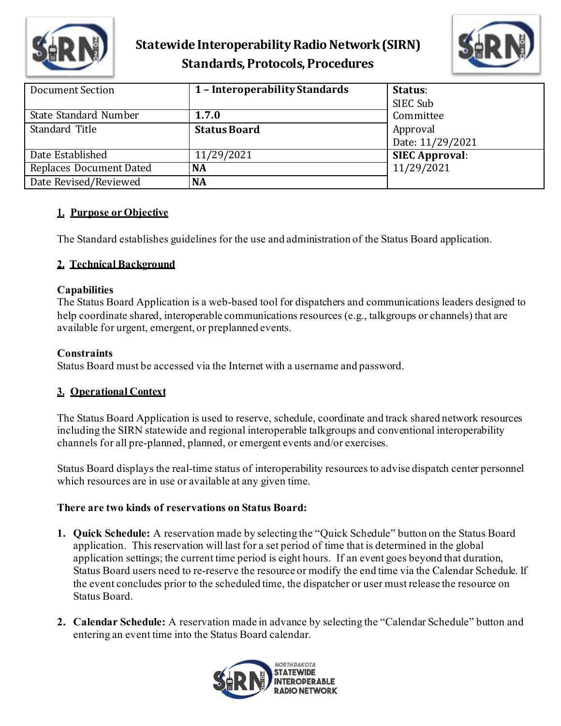



| <b>Document Section</b>        | 1 - Interoperability Standards | Status:<br>SIEC Sub          |
|--------------------------------|--------------------------------|------------------------------|
| State Standard Number          | 1.7.0                          | Committee                    |
| Standard Title                 | <b>Status Board</b>            | Approval<br>Date: 11/29/2021 |
| Date Established               | 11/29/2021                     | <b>SIEC Approval:</b>        |
| <b>Replaces Document Dated</b> | <b>NA</b>                      | 11/29/2021                   |
| Date Revised/Reviewed          | <b>NA</b>                      |                              |

#### **1. Purpose or Objective**

The Standard establishes guidelines for the use and administration of the Status Board application.

### **2. Technical Background**

#### **Capabilities**

The Status Board Application is a web-based tool for dispatchers and communications leaders designed to help coordinate shared, interoperable communications resources (e.g., talkgroups or channels) that are available for urgent, emergent, or preplanned events.

#### **Constraints**

Status Board must be accessed via the Internet with a username and password.

### **3. Operational Context**

The Status Board Application is used to reserve, schedule, coordinate and track shared network resources including the SIRN statewide and regional interoperable talkgroups and conventional interoperability channels for all pre-planned, planned, or emergent events and/or exercises.

Status Board displays the real-time status of interoperability resources to advise dispatch center personnel which resources are in use or available at any given time.

### **There are two kinds of reservations on Status Board:**

- **1. Quick Schedule:** A reservation made by selecting the "Quick Schedule" button on the Status Board application. This reservation will last for a set period of time that is determined in the global application settings; the current time period is eight hours. If an event goes beyond that duration, Status Board users need to re-reserve the resource or modify the end time via the Calendar Schedule. If the event concludes prior to the scheduled time, the dispatcher or user must release the resource on Status Board.
- **2. Calendar Schedule:** A reservation made in advance by selecting the "Calendar Schedule" button and entering an event time into the Status Board calendar.

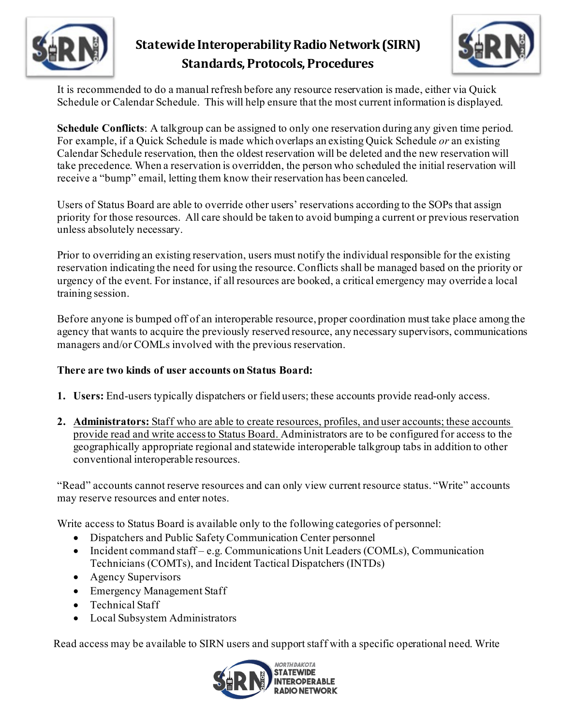



It is recommended to do a manual refresh before any resource reservation is made, either via Quick Schedule or Calendar Schedule. This will help ensure that the most current information is displayed.

**Schedule Conflicts**: A talkgroup can be assigned to only one reservation during any given time period. For example, if a Quick Schedule is made which overlaps an existing Quick Schedule *or* an existing Calendar Schedule reservation, then the oldest reservation will be deleted and the new reservation will take precedence. When a reservation is overridden, the person who scheduled the initial reservation will receive a "bump" email, letting them know their reservation has been canceled.

Users of Status Board are able to override other users' reservations according to the SOPs that assign priority for those resources. All care should be taken to avoid bumping a current or previous reservation unless absolutely necessary.

Prior to overriding an existing reservation, users must notify the individual responsible for the existing reservation indicating the need for using the resource. Conflicts shall be managed based on the priority or urgency of the event. For instance, if all resources are booked, a critical emergency may override a local training session.

Before anyone is bumped off of an interoperable resource, proper coordination must take place among the agency that wants to acquire the previously reserved resource, any necessary supervisors, communications managers and/or COMLs involved with the previous reservation.

### **There are two kinds of user accounts on Status Board:**

- **1. Users:** End-users typically dispatchers or field users; these accounts provide read-only access.
- **2. Administrators:** Staff who are able to create resources, profiles, and user accounts; these accounts provide read and write access to Status Board. Administrators are to be configured for access to the geographically appropriate regional and statewide interoperable talkgroup tabs in addition to other conventional interoperable resources.

"Read" accounts cannot reserve resources and can only view current resource status. "Write" accounts may reserve resources and enter notes.

Write access to Status Board is available only to the following categories of personnel:

- Dispatchers and Public Safety Communication Center personnel
- Incident command staff e.g. Communications Unit Leaders (COMLs), Communication Technicians (COMTs), and Incident Tactical Dispatchers (INTDs)
- Agency Supervisors
- Emergency Management Staff
- Technical Staff
- Local Subsystem Administrators

Read access may be available to SIRN users and support staff with a specific operational need. Write

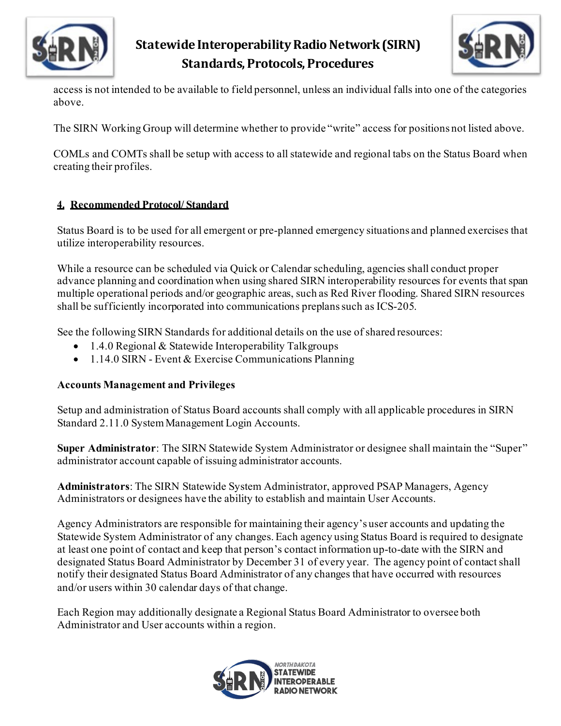



access is not intended to be available to field personnel, unless an individual falls into one of the categories above.

The SIRN Working Group will determine whether to provide "write" access for positions not listed above.

COMLs and COMTs shall be setup with access to all statewide and regional tabs on the Status Board when creating their profiles.

#### **4. Recommended Protocol/ Standard**

Status Board is to be used for all emergent or pre-planned emergency situations and planned exercises that utilize interoperability resources.

While a resource can be scheduled via Quick or Calendar scheduling, agencies shall conduct proper advance planning and coordination when using shared SIRN interoperability resources for events that span multiple operational periods and/or geographic areas, such as Red River flooding. Shared SIRN resources shall be sufficiently incorporated into communications preplans such as ICS-205.

See the following SIRN Standards for additional details on the use of shared resources:

- 1.4.0 Regional & Statewide Interoperability Talkgroups
- 1.14.0 SIRN Event & Exercise Communications Planning

### **Accounts Management and Privileges**

Setup and administration of Status Board accounts shall comply with all applicable procedures in SIRN Standard 2.11.0 System Management Login Accounts.

**Super Administrator**: The SIRN Statewide System Administrator or designee shall maintain the "Super" administrator account capable of issuing administrator accounts.

**Administrators**: The SIRN Statewide System Administrator, approved PSAP Managers, Agency Administrators or designees have the ability to establish and maintain User Accounts.

Agency Administrators are responsible for maintaining their agency's user accounts and updating the Statewide System Administrator of any changes. Each agency using Status Board is required to designate at least one point of contact and keep that person's contact information up-to-date with the SIRN and designated Status Board Administrator by December 31 of every year. The agency point of contact shall notify their designated Status Board Administrator of any changes that have occurred with resources and/or users within 30 calendar days of that change.

Each Region may additionally designate a Regional Status Board Administrator to oversee both Administrator and User accounts within a region.

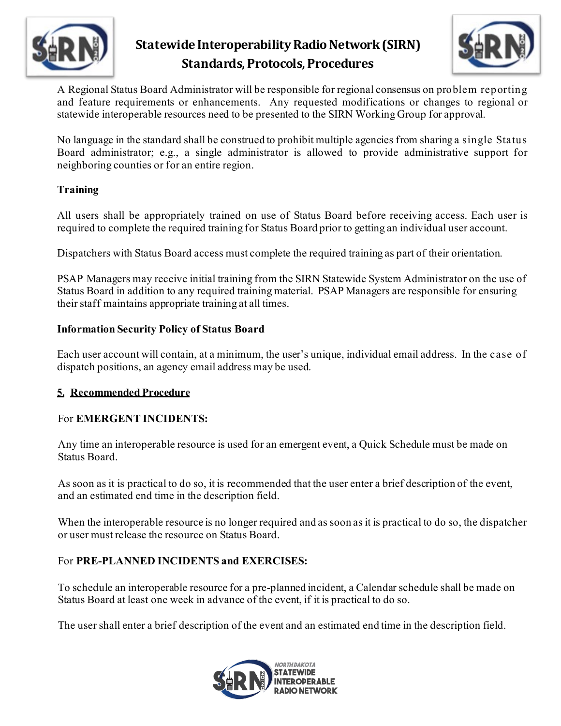



A Regional Status Board Administrator will be responsible for regional consensus on problem reporting and feature requirements or enhancements. Any requested modifications or changes to regional or statewide interoperable resources need to be presented to the SIRN Working Group for approval.

No language in the standard shall be construed to prohibit multiple agencies from sharing a single Status Board administrator; e.g., a single administrator is allowed to provide administrative support for neighboring counties or for an entire region.

### **Training**

All users shall be appropriately trained on use of Status Board before receiving access. Each user is required to complete the required training for Status Board prior to getting an individual user account.

Dispatchers with Status Board access must complete the required training as part of their orientation.

PSAP Managers may receive initial training from the SIRN Statewide System Administrator on the use of Status Board in addition to any required training material. PSAP Managers are responsible for ensuring their staff maintains appropriate training at all times.

### **Information Security Policy of Status Board**

Each user account will contain, at a minimum, the user's unique, individual email address. In the case of dispatch positions, an agency email address may be used.

### **5. Recommended Procedure**

### For **EMERGENT INCIDENTS:**

Any time an interoperable resource is used for an emergent event, a Quick Schedule must be made on Status Board.

As soon as it is practical to do so, it is recommended that the user enter a brief description of the event, and an estimated end time in the description field.

When the interoperable resource is no longer required and as soon as it is practical to do so, the dispatcher or user must release the resource on Status Board.

### For **PRE-PLANNED INCIDENTS and EXERCISES:**

To schedule an interoperable resource for a pre-planned incident, a Calendar schedule shall be made on Status Board at least one week in advance of the event, if it is practical to do so.

The user shall enter a brief description of the event and an estimated end time in the description field.

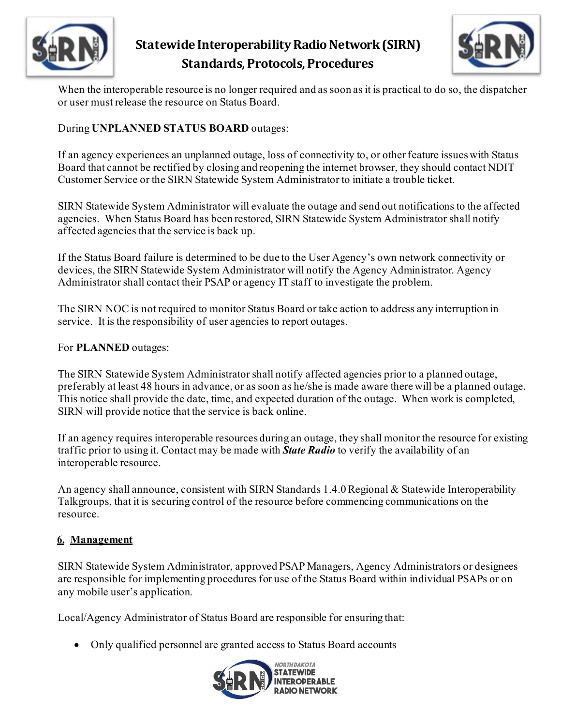



When the interoperable resource is no longer required and as soon as it is practical to do so, the dispatcher or user must release the resource on Status Board.

### During **UNPLANNED STATUS BOARD** outages:

If an agency experiences an unplanned outage, loss of connectivity to, or other feature issues with Status Board that cannot be rectified by closing and reopening the internet browser, they should contact NDIT Customer Service or the SIRN Statewide System Administrator to initiate a trouble ticket.

SIRN Statewide System Administrator will evaluate the outage and send out notifications to the affected agencies. When Status Board has been restored, SIRN Statewide System Administrator shall notify affected agencies that the service is back up.

If the Status Board failure is determined to be due to the User Agency's own network connectivity or devices, the SIRN Statewide System Administrator will notify the Agency Administrator. Agency Administrator shall contact their PSAP or agency IT staff to investigate the problem.

The SIRN NOC is not required to monitor Status Board or take action to address any interruption in service. It is the responsibility of user agencies to report outages.

For **PLANNED** outages:

The SIRN Statewide System Administrator shall notify affected agencies prior to a planned outage, preferably at least 48 hours in advance, or as soon as he/she is made aware there will be a planned outage. This notice shall provide the date, time, and expected duration of the outage. When work is completed, SIRN will provide notice that the service is back online.

If an agency requires interoperable resources during an outage, they shall monitor the resource for existing traffic prior to using it. Contact may be made with *State Radio* to verify the availability of an interoperable resource.

An agency shall announce, consistent with SIRN Standards 1.4.0 Regional & Statewide Interoperability Talkgroups, that it is securing control of the resource before commencing communications on the resource.

### **6. Management**

SIRN Statewide System Administrator, approved PSAP Managers, Agency Administrators or designees are responsible for implementing procedures for use of the Status Board within individual PSAPs or on any mobile user's application.

Local/Agency Administrator of Status Board are responsible for ensuring that:

• Only qualified personnel are granted access to Status Board accounts